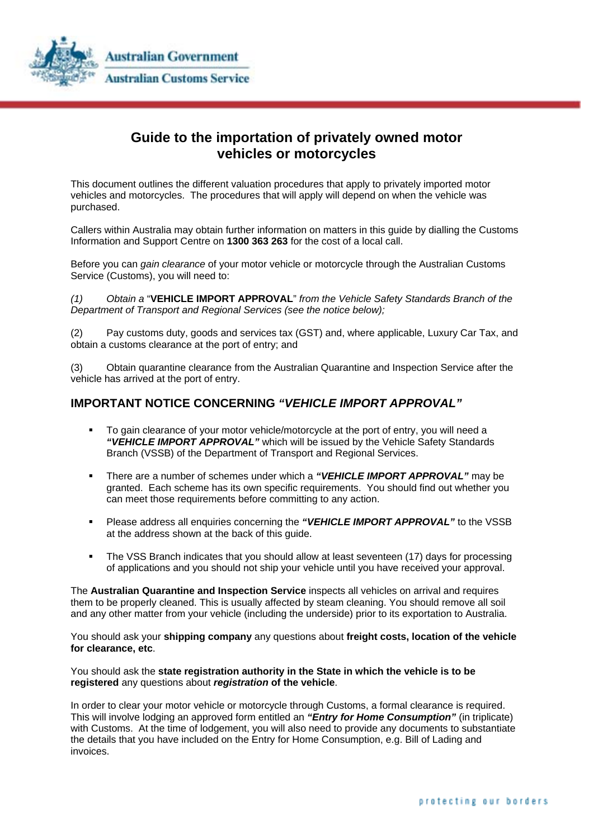

## **Guide to the importation of privately owned motor vehicles or motorcycles**

This document outlines the different valuation procedures that apply to privately imported motor vehicles and motorcycles. The procedures that will apply will depend on when the vehicle was purchased.

Callers within Australia may obtain further information on matters in this guide by dialling the Customs Information and Support Centre on **1300 363 263** for the cost of a local call.

Before you can *gain clearance* of your motor vehicle or motorcycle through the Australian Customs Service (Customs), you will need to:

*(1) Obtain a* "**VEHICLE IMPORT APPROVAL**" *from the Vehicle Safety Standards Branch of the Department of Transport and Regional Services (see the notice below);* 

(2) Pay customs duty, goods and services tax (GST) and, where applicable, Luxury Car Tax, and obtain a customs clearance at the port of entry; and

(3) Obtain quarantine clearance from the Australian Quarantine and Inspection Service after the vehicle has arrived at the port of entry.

### **IMPORTANT NOTICE CONCERNING** *"VEHICLE IMPORT APPROVAL"*

- To gain clearance of your motor vehicle/motorcycle at the port of entry, you will need a *"VEHICLE IMPORT APPROVAL"* which will be issued by the Vehicle Safety Standards Branch (VSSB) of the Department of Transport and Regional Services.
- There are a number of schemes under which a *"VEHICLE IMPORT APPROVAL"* may be granted. Each scheme has its own specific requirements. You should find out whether you can meet those requirements before committing to any action.
- Please address all enquiries concerning the *"VEHICLE IMPORT APPROVAL"* to the VSSB at the address shown at the back of this guide.
- The VSS Branch indicates that you should allow at least seventeen (17) days for processing of applications and you should not ship your vehicle until you have received your approval.

The **Australian Quarantine and Inspection Service** inspects all vehicles on arrival and requires them to be properly cleaned. This is usually affected by steam cleaning. You should remove all soil and any other matter from your vehicle (including the underside) prior to its exportation to Australia.

You should ask your **shipping company** any questions about **freight costs, location of the vehicle for clearance, etc**.

You should ask the **state registration authority in the State in which the vehicle is to be registered** any questions about *registration* **of the vehicle**.

In order to clear your motor vehicle or motorcycle through Customs, a formal clearance is required. This will involve lodging an approved form entitled an *"Entry for Home Consumption"* (in triplicate) with Customs. At the time of lodgement, you will also need to provide any documents to substantiate the details that you have included on the Entry for Home Consumption, e.g. Bill of Lading and invoices.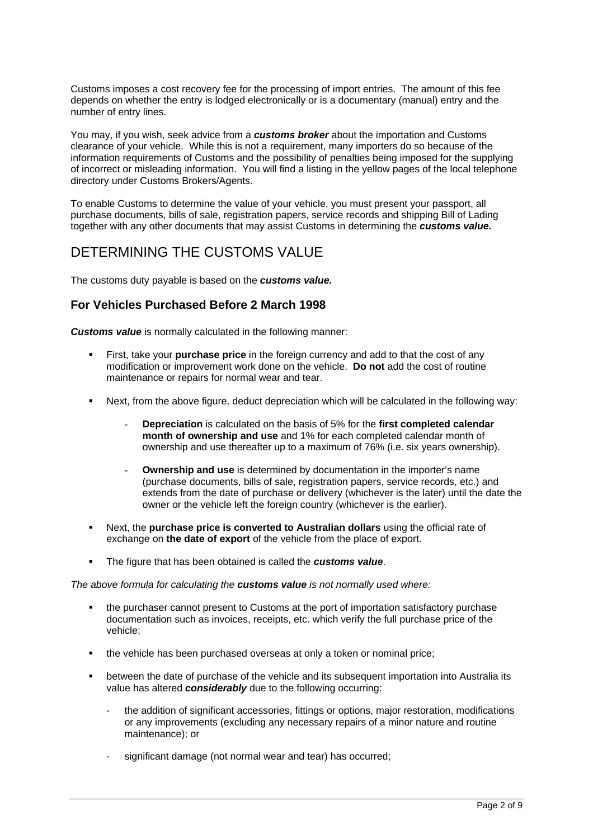Customs imposes a cost recovery fee for the processing of import entries. The amount of this fee depends on whether the entry is lodged electronically or is a documentary (manual) entry and the number of entry lines.

You may, if you wish, seek advice from a *customs broker* about the importation and Customs clearance of your vehicle. While this is not a requirement, many importers do so because of the information requirements of Customs and the possibility of penalties being imposed for the supplying of incorrect or misleading information. You will find a listing in the yellow pages of the local telephone directory under Customs Brokers/Agents.

To enable Customs to determine the value of your vehicle, you must present your passport, all purchase documents, bills of sale, registration papers, service records and shipping Bill of Lading together with any other documents that may assist Customs in determining the *customs value.* 

# DETERMINING THE CUSTOMS VALUE

The customs duty payable is based on the *customs value.* 

### **For Vehicles Purchased Before 2 March 1998**

**Customs value** is normally calculated in the following manner:

- First, take your **purchase price** in the foreign currency and add to that the cost of any modification or improvement work done on the vehicle. **Do not** add the cost of routine maintenance or repairs for normal wear and tear.
- Next, from the above figure, deduct depreciation which will be calculated in the following way:
	- **Depreciation** is calculated on the basis of 5% for the **first completed calendar month of ownership and use** and 1% for each completed calendar month of ownership and use thereafter up to a maximum of 76% (i.e. six years ownership).
	- **Ownership and use** is determined by documentation in the importer's name (purchase documents, bills of sale, registration papers, service records, etc.) and extends from the date of purchase or delivery (whichever is the later) until the date the owner or the vehicle left the foreign country (whichever is the earlier).
- Next, the **purchase price is converted to Australian dollars** using the official rate of exchange on **the date of export** of the vehicle from the place of export.
- The figure that has been obtained is called the *customs value*.

*The above formula for calculating the customs value is not normally used where:* 

- the purchaser cannot present to Customs at the port of importation satisfactory purchase documentation such as invoices, receipts, etc. which verify the full purchase price of the vehicle;
- the vehicle has been purchased overseas at only a token or nominal price;
- between the date of purchase of the vehicle and its subsequent importation into Australia its value has altered *considerably* due to the following occurring:
	- the addition of significant accessories, fittings or options, major restoration, modifications or any improvements (excluding any necessary repairs of a minor nature and routine maintenance); or
	- significant damage (not normal wear and tear) has occurred;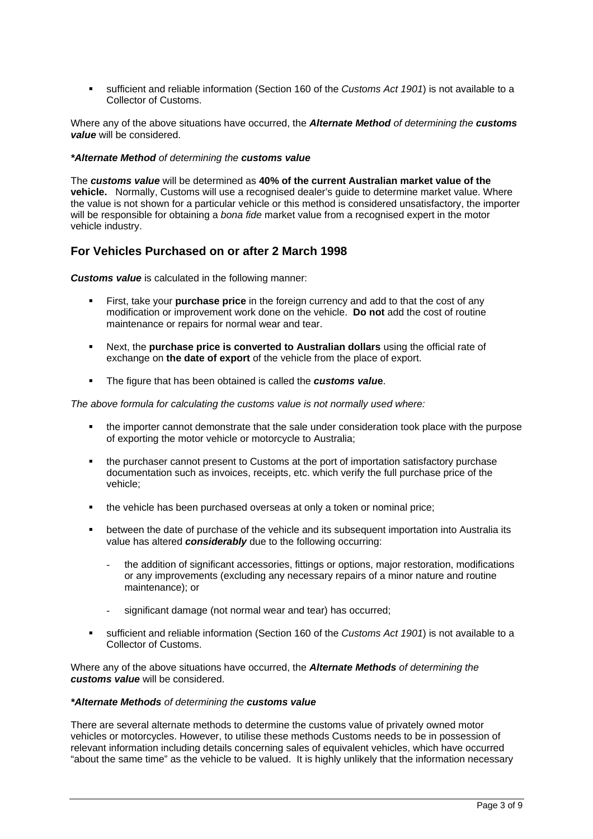sufficient and reliable information (Section 160 of the *Customs Act 1901*) is not available to a Collector of Customs.

Where any of the above situations have occurred, the *Alternate Method of determining the customs value* will be considered.

#### *\*Alternate Method of determining the customs value*

The *customs value* will be determined as **40% of the current Australian market value of the vehicle.** Normally, Customs will use a recognised dealer's guide to determine market value. Where the value is not shown for a particular vehicle or this method is considered unsatisfactory, the importer will be responsible for obtaining a *bona fide* market value from a recognised expert in the motor vehicle industry.

### **For Vehicles Purchased on or after 2 March 1998**

*Customs value* is calculated in the following manner:

- First, take your **purchase price** in the foreign currency and add to that the cost of any modification or improvement work done on the vehicle. **Do not** add the cost of routine maintenance or repairs for normal wear and tear.
- Next, the **purchase price is converted to Australian dollars** using the official rate of exchange on **the date of export** of the vehicle from the place of export.
- The figure that has been obtained is called the *customs valu***e**.

*The above formula for calculating the customs value is not normally used where:* 

- the importer cannot demonstrate that the sale under consideration took place with the purpose of exporting the motor vehicle or motorcycle to Australia;
- the purchaser cannot present to Customs at the port of importation satisfactory purchase documentation such as invoices, receipts, etc. which verify the full purchase price of the vehicle;
- the vehicle has been purchased overseas at only a token or nominal price;
- between the date of purchase of the vehicle and its subsequent importation into Australia its value has altered *considerably* due to the following occurring:
	- the addition of significant accessories, fittings or options, major restoration, modifications or any improvements (excluding any necessary repairs of a minor nature and routine maintenance); or
	- significant damage (not normal wear and tear) has occurred;
- sufficient and reliable information (Section 160 of the *Customs Act 1901*) is not available to a Collector of Customs.

Where any of the above situations have occurred, the *Alternate Methods of determining the customs value* will be considered.

#### *\*Alternate Methods of determining the customs value*

There are several alternate methods to determine the customs value of privately owned motor vehicles or motorcycles. However, to utilise these methods Customs needs to be in possession of relevant information including details concerning sales of equivalent vehicles, which have occurred "about the same time" as the vehicle to be valued. It is highly unlikely that the information necessary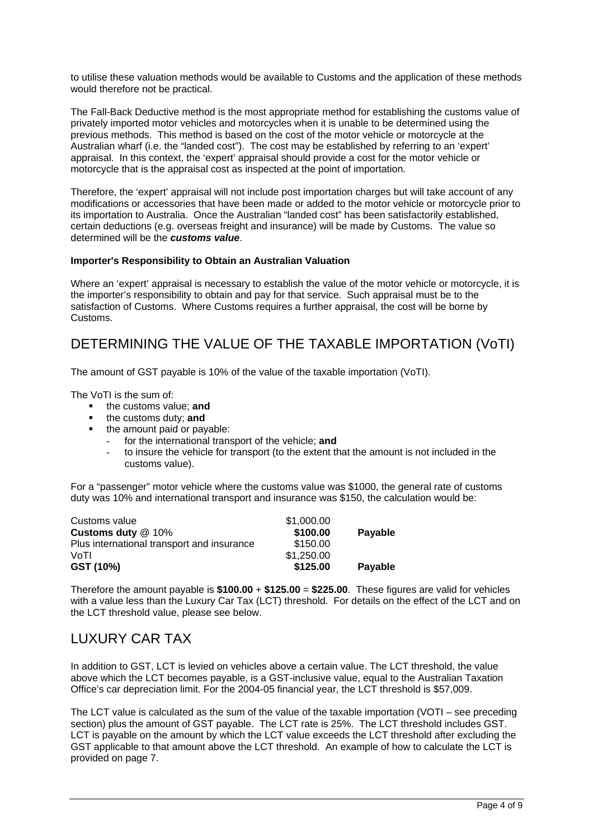to utilise these valuation methods would be available to Customs and the application of these methods would therefore not be practical.

The Fall-Back Deductive method is the most appropriate method for establishing the customs value of privately imported motor vehicles and motorcycles when it is unable to be determined using the previous methods. This method is based on the cost of the motor vehicle or motorcycle at the Australian wharf (i.e. the "landed cost"). The cost may be established by referring to an 'expert' appraisal. In this context, the 'expert' appraisal should provide a cost for the motor vehicle or motorcycle that is the appraisal cost as inspected at the point of importation.

Therefore, the 'expert' appraisal will not include post importation charges but will take account of any modifications or accessories that have been made or added to the motor vehicle or motorcycle prior to its importation to Australia. Once the Australian "landed cost" has been satisfactorily established, certain deductions (e.g. overseas freight and insurance) will be made by Customs. The value so determined will be the *customs value*.

#### **Importer's Responsibility to Obtain an Australian Valuation**

Where an 'expert' appraisal is necessary to establish the value of the motor vehicle or motorcycle, it is the importer's responsibility to obtain and pay for that service. Such appraisal must be to the satisfaction of Customs. Where Customs requires a further appraisal, the cost will be borne by Customs.

# DETERMINING THE VALUE OF THE TAXABLE IMPORTATION (VoTI)

The amount of GST payable is 10% of the value of the taxable importation (VoTI).

The VoTI is the sum of:

- **the customs value; and**
- **the customs duty; and**
- the amount paid or payable:
	- for the international transport of the vehicle; and
	- to insure the vehicle for transport (to the extent that the amount is not included in the customs value).

For a "passenger" motor vehicle where the customs value was \$1000, the general rate of customs duty was 10% and international transport and insurance was \$150, the calculation would be:

| Customs value                              | \$1,000.00 |         |
|--------------------------------------------|------------|---------|
| Customs duty @ 10%                         | \$100.00   | Payable |
| Plus international transport and insurance | \$150.00   |         |
| VoTI                                       | \$1,250.00 |         |
| GST (10%)                                  | \$125.00   | Payable |

Therefore the amount payable is **\$100.00** + **\$125.00** = **\$225.00**. These figures are valid for vehicles with a value less than the Luxury Car Tax (LCT) threshold. For details on the effect of the LCT and on the LCT threshold value, please see below.

# LUXURY CAR TAX

In addition to GST, LCT is levied on vehicles above a certain value. The LCT threshold, the value above which the LCT becomes payable, is a GST-inclusive value, equal to the Australian Taxation Office's car depreciation limit. For the 2004-05 financial year, the LCT threshold is \$57,009.

The LCT value is calculated as the sum of the value of the taxable importation (VOTI – see preceding section) plus the amount of GST payable. The LCT rate is 25%. The LCT threshold includes GST. LCT is payable on the amount by which the LCT value exceeds the LCT threshold after excluding the GST applicable to that amount above the LCT threshold. An example of how to calculate the LCT is provided on page 7.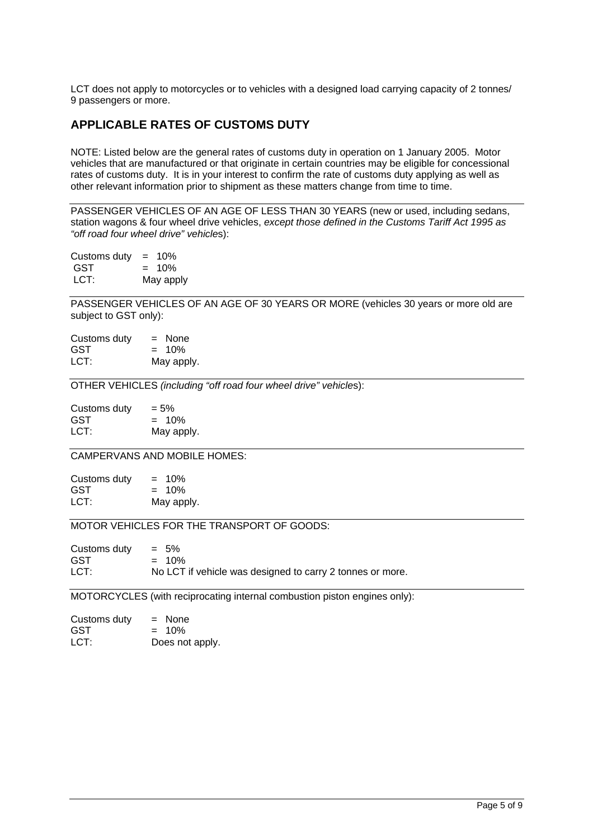LCT does not apply to motorcycles or to vehicles with a designed load carrying capacity of 2 tonnes/ 9 passengers or more.

### **APPLICABLE RATES OF CUSTOMS DUTY**

NOTE: Listed below are the general rates of customs duty in operation on 1 January 2005. Motor vehicles that are manufactured or that originate in certain countries may be eligible for concessional rates of customs duty. It is in your interest to confirm the rate of customs duty applying as well as other relevant information prior to shipment as these matters change from time to time.

PASSENGER VEHICLES OF AN AGE OF LESS THAN 30 YEARS (new or used, including sedans, station wagons & four wheel drive vehicles, *except those defined in the Customs Tariff Act 1995 as "off road four wheel drive" vehicle*s):

Customs duty  $= 10\%$  $GST = 10%$ LCT:May apply

PASSENGER VEHICLES OF AN AGE OF 30 YEARS OR MORE (vehicles 30 years or more old are subject to GST only):

| Customs duty | $=$ None   |
|--------------|------------|
| <b>GST</b>   | $= 10\%$   |
| LCT:         | May apply. |

OTHER VEHICLES *(including "off road four wheel drive" vehicle*s):

| Customs duty | $= 5\%$    |
|--------------|------------|
| GST          | $= 10\%$   |
| LCT:         | May apply. |

CAMPERVANS AND MOBILE HOMES:

| Customs duty | $= 10\%$   |
|--------------|------------|
| GST          | $= 10\%$   |
| LCT:         | May apply. |

MOTOR VEHICLES FOR THE TRANSPORT OF GOODS:

| Customs duty | $= 5\%$                                                   |
|--------------|-----------------------------------------------------------|
| GST          | $= 10\%$                                                  |
| LCT:         | No LCT if vehicle was designed to carry 2 tonnes or more. |

MOTORCYCLES (with reciprocating internal combustion piston engines only):

| Customs duty | $=$ None        |
|--------------|-----------------|
| GST          | $= 10\%$        |
| LCT:         | Does not apply. |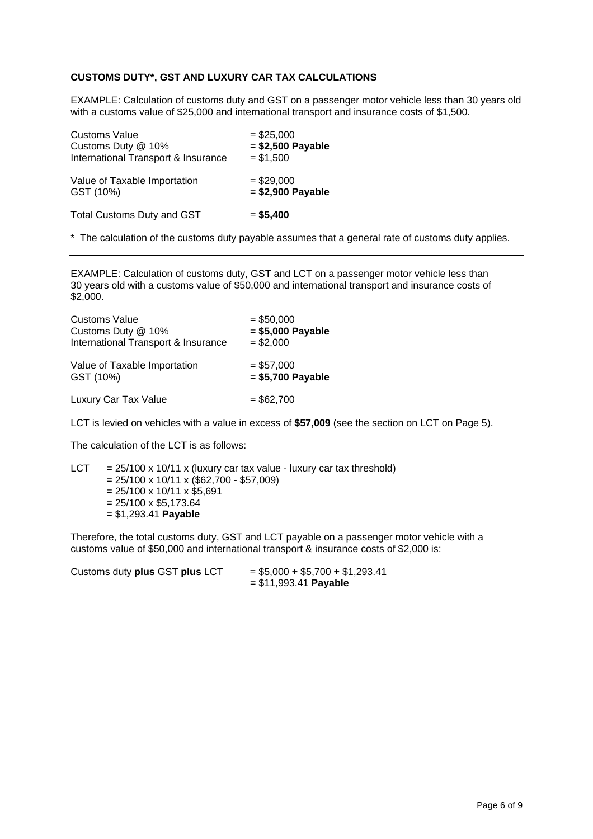### **CUSTOMS DUTY\*, GST AND LUXURY CAR TAX CALCULATIONS**

EXAMPLE: Calculation of customs duty and GST on a passenger motor vehicle less than 30 years old with a customs value of \$25,000 and international transport and insurance costs of \$1,500.

| <b>Customs Value</b>                | $= $25,000$        |
|-------------------------------------|--------------------|
| Customs Duty @ 10%                  | $= $2,500$ Payable |
| International Transport & Insurance | $= $1,500$         |
| Value of Taxable Importation        | $= $29,000$        |
| GST (10%)                           | $= $2,900$ Payable |
| <b>Total Customs Duty and GST</b>   | $= $5,400$         |

\* The calculation of the customs duty payable assumes that a general rate of customs duty applies.

EXAMPLE: Calculation of customs duty, GST and LCT on a passenger motor vehicle less than 30 years old with a customs value of \$50,000 and international transport and insurance costs of \$2,000.

| <b>Customs Value</b>                | $= $50,000$        |
|-------------------------------------|--------------------|
| Customs Duty @ 10%                  | $= $5,000$ Payable |
| International Transport & Insurance | $= $2,000$         |
| Value of Taxable Importation        | $= $57,000$        |
| GST (10%)                           | $= $5,700$ Payable |
| Luxury Car Tax Value                | $= $62,700$        |

LCT is levied on vehicles with a value in excess of **\$57,009** (see the section on LCT on Page 5).

The calculation of the LCT is as follows:

LCT =  $25/100 \times 10/11 \times$  (luxury car tax value - luxury car tax threshold)  $= 25/100 \times 10/11 \times (\$62,700 - \$57,009)$  $= 25/100 \times 10/11 \times $5.691$  $= 25/100 \times $5,173.64$ = \$1,293.41 **Payable** 

Therefore, the total customs duty, GST and LCT payable on a passenger motor vehicle with a customs value of \$50,000 and international transport & insurance costs of \$2,000 is:

Customs duty **plus** GST **plus** LCT = \$5,000 **+** \$5,700 **+** \$1,293.41

= \$11,993.41 **Payable**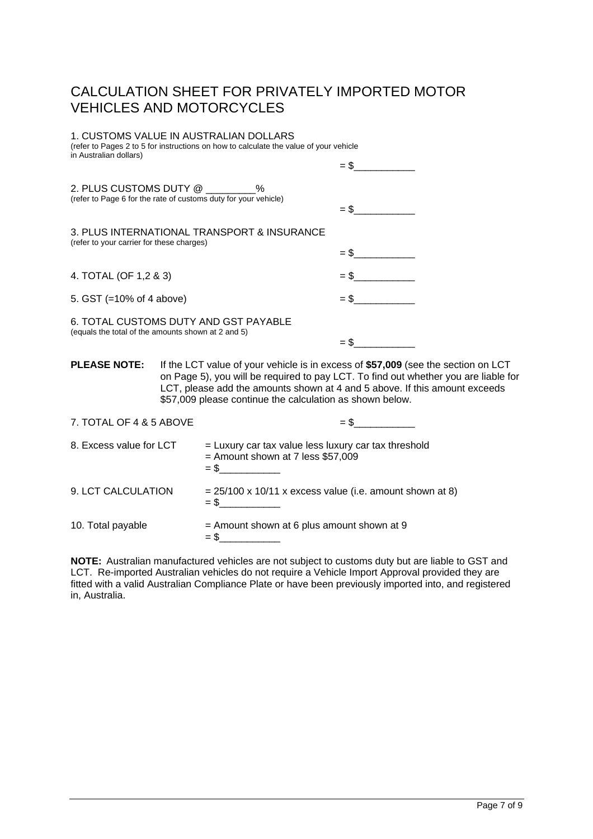# CALCULATION SHEET FOR PRIVATELY IMPORTED MOTOR VEHICLES AND MOTORCYCLES

### 1. CUSTOMS VALUE IN AUSTRALIAN DOLLARS

(refer to Pages 2 to 5 for instructions on how to calculate the value of your vehicle in Australian dollars)

| 2. PLUS CUSTOMS DUTY @ %<br>(refer to Page 6 for the rate of customs duty for your vehicle) | $=$ \$ |
|---------------------------------------------------------------------------------------------|--------|
| 3. PLUS INTERNATIONAL TRANSPORT & INSURANCE<br>(refer to your carrier for these charges)    |        |
|                                                                                             | $=$ \$ |
| 4. TOTAL (OF 1,2 & 3)                                                                       | $=$ \$ |
| 5. GST (=10% of 4 above)                                                                    | $=$ \$ |
| 6. TOTAL CUSTOMS DUTY AND GST PAYABLE<br>(equals the total of the amounts shown at 2 and 5) | = \$   |

**PLEASE NOTE:** If the LCT value of your vehicle is in excess of **\$57,009** (see the section on LCT on Page 5), you will be required to pay LCT. To find out whether you are liable for LCT, please add the amounts shown at 4 and 5 above. If this amount exceeds \$57,009 please continue the calculation as shown below.

| 7. TOTAL OF 4 & 5 ABOVE | $=$ \$                                                                                        |
|-------------------------|-----------------------------------------------------------------------------------------------|
| 8. Excess value for LCT | $=$ Luxury car tax value less luxury car tax threshold<br>$=$ Amount shown at 7 less \$57,009 |
| 9. LCT CALCULATION      | $= 25/100 \times 10/11 \times$ excess value (i.e. amount shown at 8)                          |
| 10. Total payable       | $=$ Amount shown at 6 plus amount shown at 9<br>$=$ \$                                        |

**NOTE:** Australian manufactured vehicles are not subject to customs duty but are liable to GST and LCT. Re-imported Australian vehicles do not require a Vehicle Import Approval provided they are fitted with a valid Australian Compliance Plate or have been previously imported into, and registered in, Australia.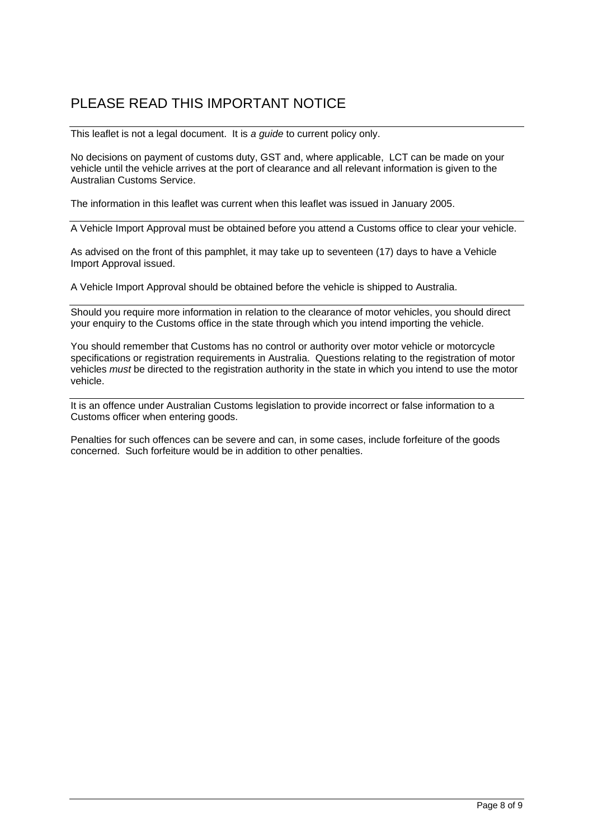# PLEASE READ THIS IMPORTANT NOTICE

This leaflet is not a legal document. It is *a guide* to current policy only.

No decisions on payment of customs duty, GST and, where applicable, LCT can be made on your vehicle until the vehicle arrives at the port of clearance and all relevant information is given to the Australian Customs Service.

The information in this leaflet was current when this leaflet was issued in January 2005.

A Vehicle Import Approval must be obtained before you attend a Customs office to clear your vehicle.

As advised on the front of this pamphlet, it may take up to seventeen (17) days to have a Vehicle Import Approval issued.

A Vehicle Import Approval should be obtained before the vehicle is shipped to Australia.

Should you require more information in relation to the clearance of motor vehicles, you should direct your enquiry to the Customs office in the state through which you intend importing the vehicle.

You should remember that Customs has no control or authority over motor vehicle or motorcycle specifications or registration requirements in Australia. Questions relating to the registration of motor vehicles *must* be directed to the registration authority in the state in which you intend to use the motor vehicle.

It is an offence under Australian Customs legislation to provide incorrect or false information to a Customs officer when entering goods.

Penalties for such offences can be severe and can, in some cases, include forfeiture of the goods concerned. Such forfeiture would be in addition to other penalties.